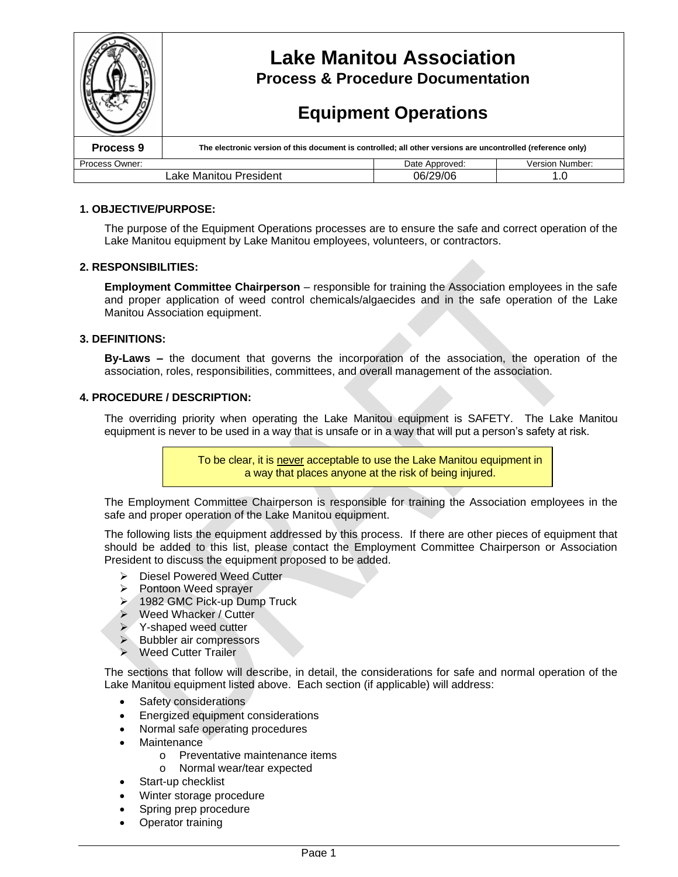|                        | <b>Lake Manitou Association</b><br><b>Process &amp; Procedure Documentation</b><br><b>Equipment Operations</b> |                |                 |
|------------------------|----------------------------------------------------------------------------------------------------------------|----------------|-----------------|
|                        |                                                                                                                |                |                 |
| Process <sub>9</sub>   | The electronic version of this document is controlled; all other versions are uncontrolled (reference only)    |                |                 |
| Process Owner:         |                                                                                                                | Date Approved: | Version Number: |
| Lake Manitou President |                                                                                                                | 06/29/06       | 1.0             |

### **1. OBJECTIVE/PURPOSE:**

The purpose of the Equipment Operations processes are to ensure the safe and correct operation of the Lake Manitou equipment by Lake Manitou employees, volunteers, or contractors.

### **2. RESPONSIBILITIES:**

**Employment Committee Chairperson** – responsible for training the Association employees in the safe and proper application of weed control chemicals/algaecides and in the safe operation of the Lake Manitou Association equipment.

### **3. DEFINITIONS:**

**By-Laws –**the document that governs the incorporation of the association, the operation of the association, roles, responsibilities, committees, and overall management of the association.

### **4. PROCEDURE / DESCRIPTION:**

The overriding priority when operating the Lake Manitou equipment is SAFETY. The Lake Manitou equipment is never to be used in a way that is unsafe or in a way that will put a person's safety at risk.

> To be clear, it is never acceptable to use the Lake Manitou equipment in a way that places anyone at the risk of being injured.

The Employment Committee Chairperson is responsible for training the Association employees in the safe and proper operation of the Lake Manitou equipment.

The following lists the equipment addressed by this process. If there are other pieces of equipment that should be added to this list, please contact the Employment Committee Chairperson or Association President to discuss the equipment proposed to be added.

- > Diesel Powered Weed Cutter
- $\triangleright$  Pontoon Weed sprayer
- ▶ 1982 GMC Pick-up Dump Truck
- ▶ Weed Whacker / Cutter
- **► Y-shaped weed cutter**
- $\triangleright$  Bubbler air compressors
- ▶ Weed Cutter Trailer

The sections that follow will describe, in detail, the considerations for safe and normal operation of the Lake Manitou equipment listed above. Each section (if applicable) will address:

- Safety considerations
- Energized equipment considerations
- Normal safe operating procedures
- **Maintenance** 
	- o Preventative maintenance items
	- o Normal wear/tear expected
	- Start-up checklist
- Winter storage procedure
- Spring prep procedure
- Operator training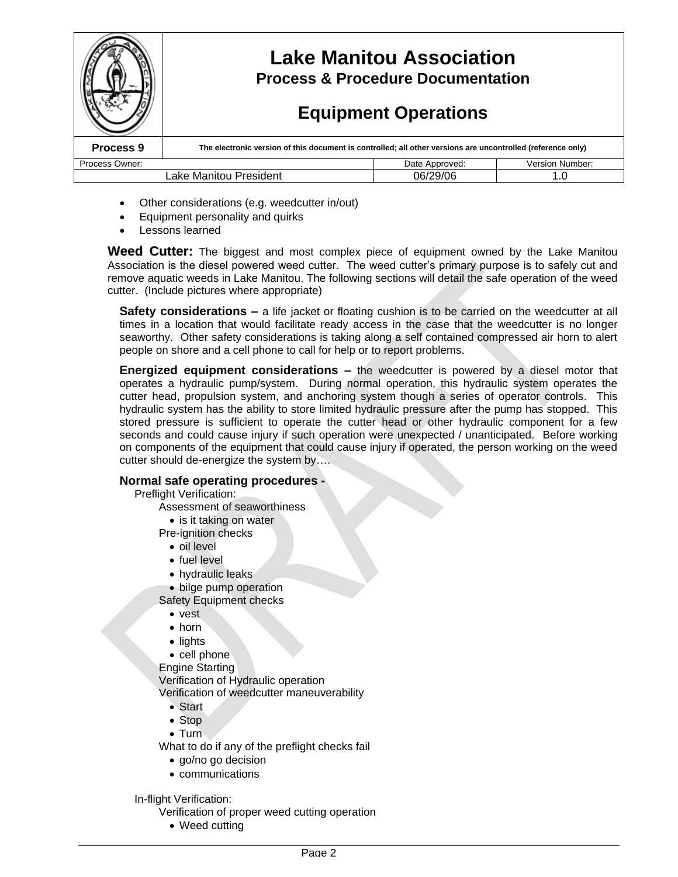

- Other considerations (e.g. weedcutter in/out)
- Equipment personality and quirks
- Lessons learned

**Weed Cutter:** The biggest and most complex piece of equipment owned by the Lake Manitou Association is the diesel powered weed cutter. The weed cutter's primary purpose is to safely cut and remove aquatic weeds in Lake Manitou. The following sections will detail the safe operation of the weed cutter. (Include pictures where appropriate)

**Safety considerations –** a life jacket or floating cushion is to be carried on the weedcutter at all times in a location that would facilitate ready access in the case that the weedcutter is no longer seaworthy. Other safety considerations is taking along a self contained compressed air horn to alert people on shore and a cell phone to call for help or to report problems.

**Energized equipment considerations –**the weedcutter is powered by a diesel motor that operates a hydraulic pump/system. During normal operation, this hydraulic system operates the cutter head, propulsion system, and anchoring system though a series of operator controls. This hydraulic system has the ability to store limited hydraulic pressure after the pump has stopped. This stored pressure is sufficient to operate the cutter head or other hydraulic component for a few seconds and could cause injury if such operation were unexpected / unanticipated. Before working on components of the equipment that could cause injury if operated, the person working on the weed cutter should de-energize the system by….

## **Normal safe operating procedures -**

Preflight Verification:

- Assessment of seaworthiness
	- is it taking on water

Pre-ignition checks

- oil level
- fuel level
- hydraulic leaks
- bilge pump operation
- Safety Equipment checks
	- vest
	- horn
	- lights
	- cell phone
- Engine Starting

Verification of Hydraulic operation

Verification of weedcutter maneuverability

- Start
- Stop
- Turn

What to do if any of the preflight checks fail

- go/no go decision
- communications

In-flight Verification:

Verification of proper weed cutting operation

• Weed cutting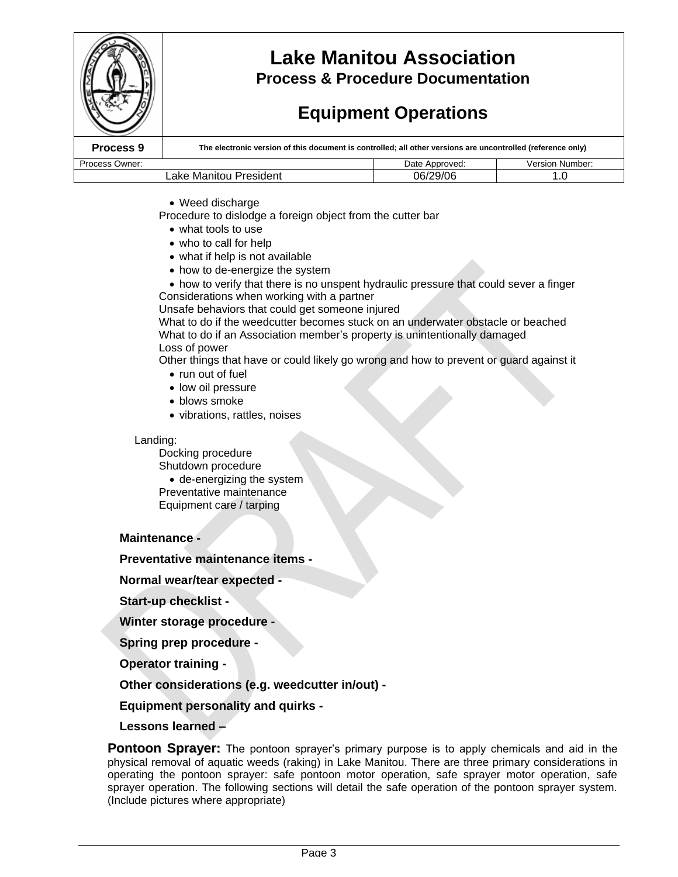|                        | <b>Lake Manitou Association</b><br><b>Process &amp; Procedure Documentation</b><br><b>Equipment Operations</b> |                |                        |
|------------------------|----------------------------------------------------------------------------------------------------------------|----------------|------------------------|
| Process 9              | The electronic version of this document is controlled; all other versions are uncontrolled (reference only)    |                |                        |
| Process Owner:         |                                                                                                                | Date Approved: | <b>Version Number:</b> |
| Lake Manitou President |                                                                                                                | 06/29/06       | 1.0                    |

- Weed discharge
- Procedure to dislodge a foreign object from the cutter bar
	- what tools to use
	- who to call for help
	- what if help is not available
	- how to de-energize the system
- how to verify that there is no unspent hydraulic pressure that could sever a finger Considerations when working with a partner

Unsafe behaviors that could get someone injured

What to do if the weedcutter becomes stuck on an underwater obstacle or beached What to do if an Association member's property is unintentionally damaged Loss of power

Other things that have or could likely go wrong and how to prevent or guard against it

- run out of fuel
- low oil pressure
- blows smoke
- vibrations, rattles, noises

### Landing:

Docking procedure Shutdown procedure de-energizing the system Preventative maintenance Equipment care / tarping

### **Maintenance -**

### **Preventative maintenance items -**

**Normal wear/tear expected -**

**Start-up checklist -**

**Winter storage procedure -**

**Spring prep procedure -**

**Operator training -**

**Other considerations (e.g. weedcutter in/out) -**

**Equipment personality and quirks -**

**Lessons learned –**

**Pontoon Sprayer:** The pontoon sprayer's primary purpose is to apply chemicals and aid in the physical removal of aquatic weeds (raking) in Lake Manitou. There are three primary considerations in operating the pontoon sprayer: safe pontoon motor operation, safe sprayer motor operation, safe sprayer operation. The following sections will detail the safe operation of the pontoon sprayer system. (Include pictures where appropriate)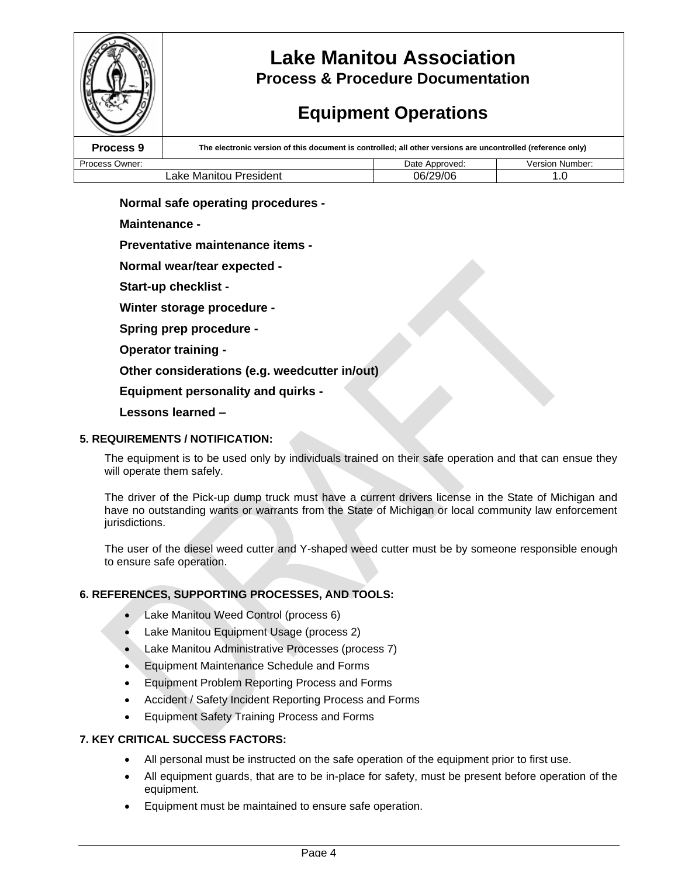

## **Lake Manitou Association Process & Procedure Documentation**

# **Equipment Operations**

| Process 9              | The electronic version of this document is controlled; all other versions are uncontrolled (reference only) |                |                 |
|------------------------|-------------------------------------------------------------------------------------------------------------|----------------|-----------------|
| Process Owner:         |                                                                                                             | Date Approved: | Version Number: |
| ∟ake Manitou President |                                                                                                             | 06/29/06       |                 |

## **Normal safe operating procedures -**

## **Maintenance -**

## **Preventative maintenance items -**

**Normal wear/tear expected -**

**Start-up checklist -**

**Winter storage procedure -**

**Spring prep procedure -**

**Operator training -**

**Other considerations (e.g. weedcutter in/out)**

**Equipment personality and quirks -**

## **Lessons learned –**

## **5. REQUIREMENTS / NOTIFICATION:**

The equipment is to be used only by individuals trained on their safe operation and that can ensue they will operate them safely.

The driver of the Pick-up dump truck must have a current drivers license in the State of Michigan and have no outstanding wants or warrants from the State of Michigan or local community law enforcement jurisdictions.

The user of the diesel weed cutter and Y-shaped weed cutter must be by someone responsible enough to ensure safe operation.

## **6. REFERENCES, SUPPORTING PROCESSES, AND TOOLS:**

- Lake Manitou Weed Control (process 6)
- Lake Manitou Equipment Usage (process 2)
- Lake Manitou Administrative Processes (process 7)
- Equipment Maintenance Schedule and Forms
- Equipment Problem Reporting Process and Forms
- Accident / Safety Incident Reporting Process and Forms
- Equipment Safety Training Process and Forms

### **7. KEY CRITICAL SUCCESS FACTORS:**

- All personal must be instructed on the safe operation of the equipment prior to first use.
- All equipment guards, that are to be in-place for safety, must be present before operation of the equipment.
- Equipment must be maintained to ensure safe operation.